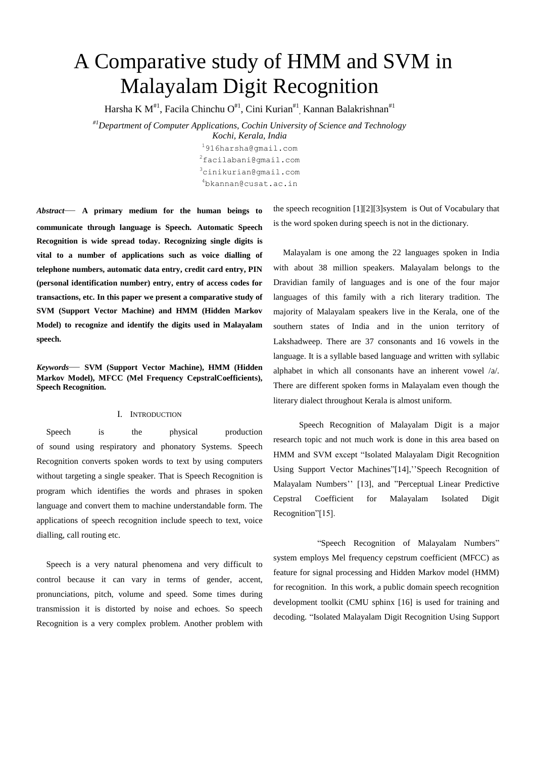# A Comparative study of HMM and SVM in Malayalam Digit Recognition

Harsha K M<sup>#1</sup>, Facila Chinchu O<sup>#1</sup>, Cini Kurian<sup>#1</sup>, Kannan Balakrishnan<sup>#1</sup>

*#1Department of Computer Applications, Cochin University of Science and Technology*

*Kochi, Kerala, India*  916harsha@gmail.com facilabani@gmail.com cinikurian@gmail.com bkannan@cusat.ac.in

*Abstract*— **A primary medium for the human beings to communicate through language is Speech. Automatic Speech Recognition is wide spread today. Recognizing single digits is vital to a number of applications such as voice dialling of telephone numbers, automatic data entry, credit card entry, PIN (personal identification number) entry, entry of access codes for transactions, etc. In this paper we present a comparative study of SVM (Support Vector Machine) and HMM (Hidden Markov Model) to recognize and identify the digits used in Malayalam speech.**

*Keywords*— **SVM (Support Vector Machine), HMM (Hidden Markov Model), MFCC (Mel Frequency CepstralCoefficients), Speech Recognition.**

# I. INTRODUCTION

Speech is the physical production of sound using respiratory and phonatory Systems. Speech Recognition converts spoken words to text by using computers without targeting a single speaker. That is Speech Recognition is program which identifies the words and phrases in spoken language and convert them to machine understandable form. The applications of speech recognition include speech to text, voice dialling, call routing etc.

Speech is a very natural phenomena and very difficult to control because it can vary in terms of gender, accent, pronunciations, pitch, volume and speed. Some times during transmission it is distorted by noise and echoes. So speech Recognition is a very complex problem. Another problem with

the speech recognition [1][2][3]system is Out of Vocabulary that is the word spoken during speech is not in the dictionary.

Malayalam is one among the 22 languages spoken in India with about 38 million speakers. Malayalam belongs to the Dravidian family of languages and is one of the four major languages of this family with a rich literary tradition. The majority of Malayalam speakers live in the Kerala, one of the southern states of India and in the union territory of Lakshadweep. There are 37 consonants and 16 vowels in the language. It is a syllable based language and written with syllabic alphabet in which all consonants have an inherent vowel /a/. There are different spoken forms in Malayalam even though the literary dialect throughout Kerala is almost uniform.

 Speech Recognition of Malayalam Digit is a major research topic and not much work is done in this area based on HMM and SVM except "Isolated Malayalam Digit Recognition Using Support Vector Machines"[14],''Speech Recognition of Malayalam Numbers'' [13], and "Perceptual Linear Predictive Cepstral Coefficient for Malayalam Isolated Digit Recognition"[15].

 "Speech Recognition of Malayalam Numbers" system employs Mel frequency cepstrum coefficient (MFCC) as feature for signal processing and Hidden Markov model (HMM) for recognition. In this work, a public domain speech recognition development toolkit (CMU sphinx [16] is used for training and decoding. "Isolated Malayalam Digit Recognition Using Support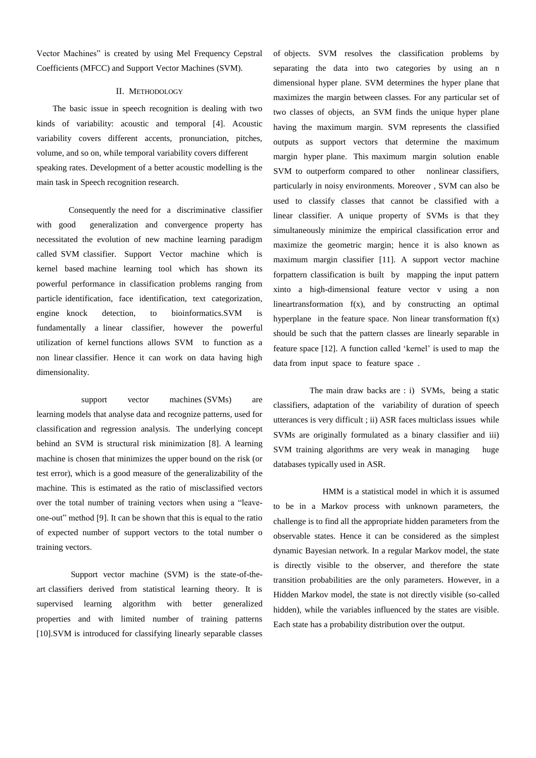Vector Machines" is created by using Mel Frequency Cepstral Coefficients (MFCC) and Support Vector Machines (SVM).

## II. METHODOLOGY

 The basic issue in speech recognition is dealing with two kinds of variability: acoustic and temporal [4]. Acoustic variability covers different accents, pronunciation, pitches, volume, and so on, while temporal variability covers different speaking rates. Development of a better acoustic modelling is the main task in Speech recognition research.

 Consequently the need for a discriminative classifier with good generalization and convergence property has necessitated the evolution of new machine learning paradigm called SVM classifier. Support Vector machine which is kernel based machine learning tool which has shown its powerful performance in classification problems ranging from particle identification, face identification, text categorization, engine knock detection, to bioinformatics.SVM is fundamentally a linear classifier, however the powerful utilization of kernel functions allows SVM to function as a non linear classifier. Hence it can work on data having high dimensionality.

support vector machines (SVMs) are learning models that analyse data and recognize patterns, used for classification and regression analysis. The underlying concept behind an SVM is structural risk minimization [8]. A learning machine is chosen that minimizes the upper bound on the risk (or test error), which is a good measure of the generalizability of the machine. This is estimated as the ratio of misclassified vectors over the total number of training vectors when using a "leaveone-out" method [9]. It can be shown that this is equal to the ratio of expected number of support vectors to the total number o training vectors.

 Support vector machine (SVM) is the state-of-theart classifiers derived from statistical learning theory. It is supervised learning algorithm with better generalized properties and with limited number of training patterns [10].SVM is introduced for classifying linearly separable classes of objects. SVM resolves the classification problems by separating the data into two categories by using an n dimensional hyper plane. SVM determines the hyper plane that maximizes the margin between classes. For any particular set of two classes of objects, an SVM finds the unique hyper plane having the maximum margin. SVM represents the classified outputs as support vectors that determine the maximum margin hyper plane. This maximum margin solution enable SVM to outperform compared to other nonlinear classifiers, particularly in noisy environments. Moreover , SVM can also be used to classify classes that cannot be classified with a linear classifier. A unique property of SVMs is that they simultaneously minimize the empirical classification error and maximize the geometric margin; hence it is also known as maximum margin classifier [11]. A support vector machine forpattern classification is built by mapping the input pattern xinto a high-dimensional feature vector v using a non lineartransformation f(x), and by constructing an optimal hyperplane in the feature space. Non linear transformation  $f(x)$ should be such that the pattern classes are linearly separable in feature space [12]. A function called 'kernel' is used to map the data from input space to feature space .

 The main draw backs are : i) SVMs, being a static classifiers, adaptation of the variability of duration of speech utterances is very difficult ; ii) ASR faces multiclass issues while SVMs are originally formulated as a binary classifier and iii) SVM training algorithms are very weak in managing huge databases typically used in ASR.

 HMM is a statistical model in which it is assumed to be in a Markov process with unknown parameters, the challenge is to find all the appropriate hidden parameters from the observable states. Hence it can be considered as the simplest dynamic Bayesian network. In a regular Markov model, the state is directly visible to the observer, and therefore the state transition probabilities are the only parameters. However, in a Hidden Markov model, the state is not directly visible (so-called hidden), while the variables influenced by the states are visible. Each state has a probability distribution over the output.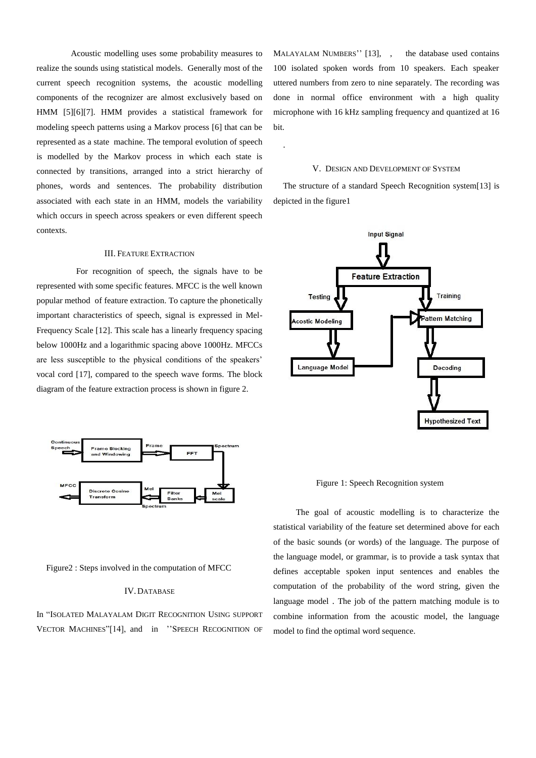Acoustic modelling uses some probability measures to realize the sounds using statistical models. Generally most of the current speech recognition systems, the acoustic modelling components of the recognizer are almost exclusively based on HMM [5][6][7]. HMM provides a statistical framework for modeling speech patterns using a Markov process [6] that can be represented as a state machine. The temporal evolution of speech is modelled by the Markov process in which each state is connected by transitions, arranged into a strict hierarchy of phones, words and sentences. The probability distribution associated with each state in an HMM, models the variability which occurs in speech across speakers or even different speech contexts.

# III. FEATURE EXTRACTION

 For recognition of speech, the signals have to be represented with some specific features. MFCC is the well known popular method of feature extraction. To capture the phonetically important characteristics of speech, signal is expressed in Mel-Frequency Scale [12]. This scale has a linearly frequency spacing below 1000Hz and a logarithmic spacing above 1000Hz. MFCCs are less susceptible to the physical conditions of the speakers' vocal cord [17], compared to the speech wave forms. The block diagram of the feature extraction process is shown in figure 2.



Figure2 : Steps involved in the computation of MFCC

## IV. DATABASE

In "ISOLATED MALAYALAM DIGIT RECOGNITION USING SUPPORT VECTOR MACHINES"[14], and in ''SPEECH RECOGNITION OF MALAYALAM NUMBERS" [13], , the database used contains 100 isolated spoken words from 10 speakers. Each speaker uttered numbers from zero to nine separately. The recording was done in normal office environment with a high quality microphone with 16 kHz sampling frequency and quantized at 16 bit.

#### V. DESIGN AND DEVELOPMENT OF SYSTEM

.

The structure of a standard Speech Recognition system[13] is depicted in the figure1



### Figure 1: Speech Recognition system

 The goal of acoustic modelling is to characterize the statistical variability of the feature set determined above for each of the basic sounds (or words) of the language. The purpose of the language model, or grammar, is to provide a task syntax that defines acceptable spoken input sentences and enables the computation of the probability of the word string, given the language model . The job of the pattern matching module is to combine information from the acoustic model, the language model to find the optimal word sequence.